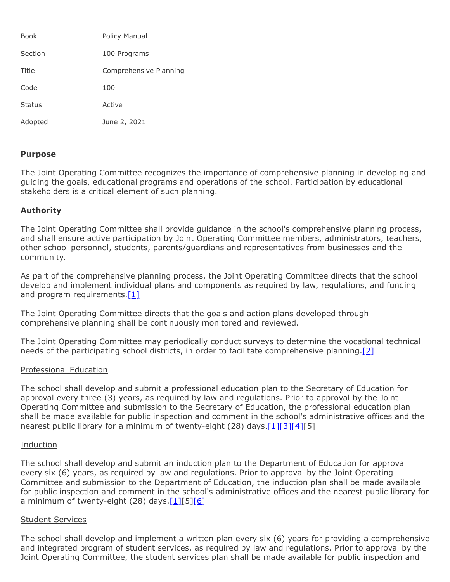| <b>Book</b>   | Policy Manual          |
|---------------|------------------------|
| Section       | 100 Programs           |
| Title         | Comprehensive Planning |
| Code          | 100                    |
| <b>Status</b> | Active                 |
| Adopted       | June 2, 2021           |

## **Purpose**

The Joint Operating Committee recognizes the importance of comprehensive planning in developing and guiding the goals, educational programs and operations of the school. Participation by educational stakeholders is a critical element of such planning.

# **Authority**

The Joint Operating Committee shall provide guidance in the school's comprehensive planning process, and shall ensure active participation by Joint Operating Committee members, administrators, teachers, other school personnel, students, parents/guardians and representatives from businesses and the community.

As part of the comprehensive planning process, the Joint Operating Committee directs that the school develop and implement individual plans and components as required by law, regulations, and funding and program requirements. $[1]$ 

The Joint Operating Committee directs that the goals and action plans developed through comprehensive planning shall be continuously monitored and reviewed.

The Joint Operating Committee may periodically conduct surveys to determine the vocational technical needs of the participating school districts, in order to facilitate comprehensive planning[.\[2\]](http://www.legis.state.pa.us/cfdocs/legis/LI/uconsCheck.cfm?txtType=HTM&yr=1949&sessInd=0&smthLwInd=0&act=14&chpt=18&sctn=50&subsctn=1)

#### Professional Education

The school shall develop and submit a professional education plan to the Secretary of Education for approval every three (3) years, as required by law and regulations. Prior to approval by the Joint Operating Committee and submission to the Secretary of Education, the professional education plan shall be made available for public inspection and comment in the school's administrative offices and the nearest public library for a minimum of twenty-eight (28) days[.\[1\]](http://pacodeandbulletin.gov/Display/pacode?file=/secure/pacode/data/022/chapter4/s4.13.html&d=reduce)[\[3\]](http://www.legis.state.pa.us/cfdocs/legis/LI/uconsCheck.cfm?txtType=HTM&yr=1949&sessInd=0&smthLwInd=0&act=14&chpt=12&sctn=5&subsctn=1)[\[4\]](http://pacodeandbulletin.gov/Display/pacode?file=/secure/pacode/data/022/chapter49/s49.17.html&d=reduce)[5]

### Induction

The school shall develop and submit an induction plan to the Department of Education for approval every six (6) years, as required by law and regulations. Prior to approval by the Joint Operating Committee and submission to the Department of Education, the induction plan shall be made available for public inspection and comment in the school's administrative offices and the nearest public library for a minimum of twenty-eight (28) days. $[1][5][6]$  $[1][5][6]$  $[1][5][6]$ 

#### Student Services

The school shall develop and implement a written plan every six (6) years for providing a comprehensive and integrated program of student services, as required by law and regulations. Prior to approval by the Joint Operating Committee, the student services plan shall be made available for public inspection and